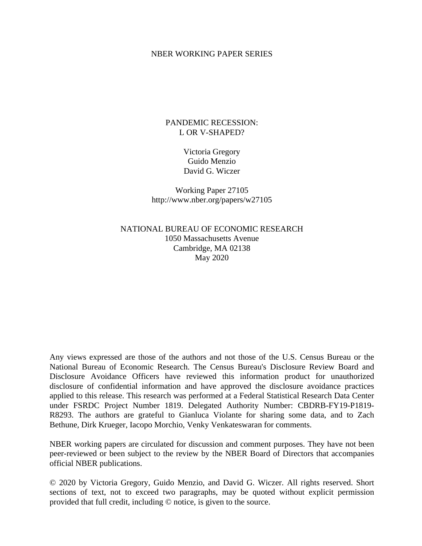#### NBER WORKING PAPER SERIES

#### PANDEMIC RECESSION: L OR V-SHAPED?

Victoria Gregory Guido Menzio David G. Wiczer

Working Paper 27105 http://www.nber.org/papers/w27105

NATIONAL BUREAU OF ECONOMIC RESEARCH 1050 Massachusetts Avenue Cambridge, MA 02138 May 2020

Any views expressed are those of the authors and not those of the U.S. Census Bureau or the National Bureau of Economic Research. The Census Bureau's Disclosure Review Board and Disclosure Avoidance Officers have reviewed this information product for unauthorized disclosure of confidential information and have approved the disclosure avoidance practices applied to this release. This research was performed at a Federal Statistical Research Data Center under FSRDC Project Number 1819. Delegated Authority Number: CBDRB-FY19-P1819- R8293. The authors are grateful to Gianluca Violante for sharing some data, and to Zach Bethune, Dirk Krueger, Iacopo Morchio, Venky Venkateswaran for comments.

NBER working papers are circulated for discussion and comment purposes. They have not been peer-reviewed or been subject to the review by the NBER Board of Directors that accompanies official NBER publications.

© 2020 by Victoria Gregory, Guido Menzio, and David G. Wiczer. All rights reserved. Short sections of text, not to exceed two paragraphs, may be quoted without explicit permission provided that full credit, including © notice, is given to the source.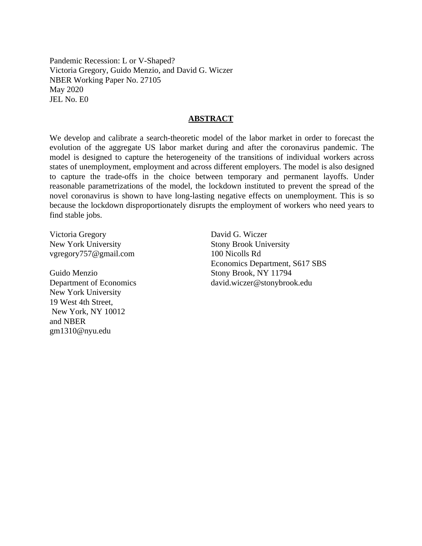Pandemic Recession: L or V-Shaped? Victoria Gregory, Guido Menzio, and David G. Wiczer NBER Working Paper No. 27105 May 2020 JEL No. E0

#### **ABSTRACT**

We develop and calibrate a search-theoretic model of the labor market in order to forecast the evolution of the aggregate US labor market during and after the coronavirus pandemic. The model is designed to capture the heterogeneity of the transitions of individual workers across states of unemployment, employment and across different employers. The model is also designed to capture the trade-offs in the choice between temporary and permanent layoffs. Under reasonable parametrizations of the model, the lockdown instituted to prevent the spread of the novel coronavirus is shown to have long-lasting negative effects on unemployment. This is so because the lockdown disproportionately disrupts the employment of workers who need years to find stable jobs.

Victoria Gregory New York University vgregory757@gmail.com

Guido Menzio Department of Economics New York University 19 West 4th Street, New York, NY 10012 and NBER gm1310@nyu.edu

David G. Wiczer Stony Brook University 100 Nicolls Rd Economics Department, S617 SBS Stony Brook, NY 11794 david.wiczer@stonybrook.edu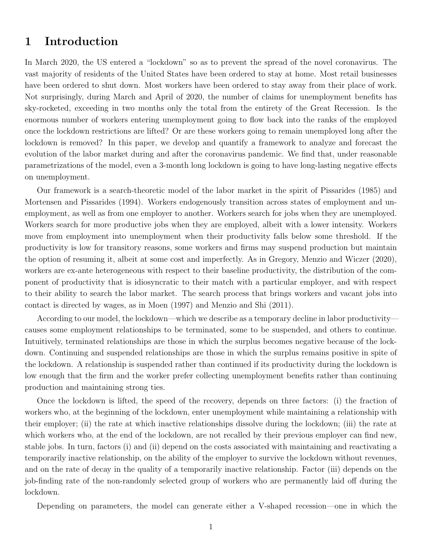## 1 Introduction

In March 2020, the US entered a "lockdown" so as to prevent the spread of the novel coronavirus. The vast majority of residents of the United States have been ordered to stay at home. Most retail businesses have been ordered to shut down. Most workers have been ordered to stay away from their place of work. Not surprisingly, during March and April of 2020, the number of claims for unemployment benefits has sky-rocketed, exceeding in two months only the total from the entirety of the Great Recession. Is the enormous number of workers entering unemployment going to flow back into the ranks of the employed once the lockdown restrictions are lifted? Or are these workers going to remain unemployed long after the lockdown is removed? In this paper, we develop and quantify a framework to analyze and forecast the evolution of the labor market during and after the coronavirus pandemic. We find that, under reasonable parametrizations of the model, even a 3-month long lockdown is going to have long-lasting negative effects on unemployment.

Our framework is a search-theoretic model of the labor market in the spirit of Pissarides (1985) and Mortensen and Pissarides (1994). Workers endogenously transition across states of employment and unemployment, as well as from one employer to another. Workers search for jobs when they are unemployed. Workers search for more productive jobs when they are employed, albeit with a lower intensity. Workers move from employment into unemployment when their productivity falls below some threshold. If the productivity is low for transitory reasons, some workers and firms may suspend production but maintain the option of resuming it, albeit at some cost and imperfectly. As in Gregory, Menzio and Wiczer (2020), workers are ex-ante heterogeneous with respect to their baseline productivity, the distribution of the component of productivity that is idiosyncratic to their match with a particular employer, and with respect to their ability to search the labor market. The search process that brings workers and vacant jobs into contact is directed by wages, as in Moen (1997) and Menzio and Shi (2011).

According to our model, the lockdown—which we describe as a temporary decline in labor productivity causes some employment relationships to be terminated, some to be suspended, and others to continue. Intuitively, terminated relationships are those in which the surplus becomes negative because of the lockdown. Continuing and suspended relationships are those in which the surplus remains positive in spite of the lockdown. A relationship is suspended rather than continued if its productivity during the lockdown is low enough that the firm and the worker prefer collecting unemployment benefits rather than continuing production and maintaining strong ties.

Once the lockdown is lifted, the speed of the recovery, depends on three factors: (i) the fraction of workers who, at the beginning of the lockdown, enter unemployment while maintaining a relationship with their employer; (ii) the rate at which inactive relationships dissolve during the lockdown; (iii) the rate at which workers who, at the end of the lockdown, are not recalled by their previous employer can find new, stable jobs. In turn, factors (i) and (ii) depend on the costs associated with maintaining and reactivating a temporarily inactive relationship, on the ability of the employer to survive the lockdown without revenues, and on the rate of decay in the quality of a temporarily inactive relationship. Factor (iii) depends on the job-finding rate of the non-randomly selected group of workers who are permanently laid off during the lockdown.

Depending on parameters, the model can generate either a V-shaped recession—one in which the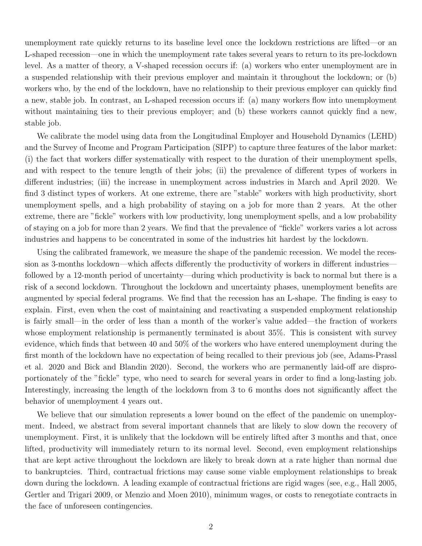unemployment rate quickly returns to its baseline level once the lockdown restrictions are lifted—or an L-shaped recession—one in which the unemployment rate takes several years to return to its pre-lockdown level. As a matter of theory, a V-shaped recession occurs if: (a) workers who enter unemployment are in a suspended relationship with their previous employer and maintain it throughout the lockdown; or (b) workers who, by the end of the lockdown, have no relationship to their previous employer can quickly find a new, stable job. In contrast, an L-shaped recession occurs if: (a) many workers flow into unemployment without maintaining ties to their previous employer; and (b) these workers cannot quickly find a new, stable job.

We calibrate the model using data from the Longitudinal Employer and Household Dynamics (LEHD) and the Survey of Income and Program Participation (SIPP) to capture three features of the labor market: (i) the fact that workers differ systematically with respect to the duration of their unemployment spells, and with respect to the tenure length of their jobs; (ii) the prevalence of different types of workers in different industries; (iii) the increase in unemployment across industries in March and April 2020. We find 3 distinct types of workers. At one extreme, there are "stable" workers with high productivity, short unemployment spells, and a high probability of staying on a job for more than 2 years. At the other extreme, there are "fickle" workers with low productivity, long unemployment spells, and a low probability of staying on a job for more than 2 years. We find that the prevalence of "fickle" workers varies a lot across industries and happens to be concentrated in some of the industries hit hardest by the lockdown.

Using the calibrated framework, we measure the shape of the pandemic recession. We model the recession as 3-months lockdown—which affects differently the productivity of workers in different industries followed by a 12-month period of uncertainty—during which productivity is back to normal but there is a risk of a second lockdown. Throughout the lockdown and uncertainty phases, unemployment benefits are augmented by special federal programs. We find that the recession has an L-shape. The finding is easy to explain. First, even when the cost of maintaining and reactivating a suspended employment relationship is fairly small—in the order of less than a month of the worker's value added—the fraction of workers whose employment relationship is permanently terminated is about 35%. This is consistent with survey evidence, which finds that between 40 and 50% of the workers who have entered unemployment during the first month of the lockdown have no expectation of being recalled to their previous job (see, Adams-Prassl et al. 2020 and Bick and Blandin 2020). Second, the workers who are permanently laid-off are disproportionately of the "fickle" type, who need to search for several years in order to find a long-lasting job. Interestingly, increasing the length of the lockdown from 3 to 6 months does not significantly affect the behavior of unemployment 4 years out.

We believe that our simulation represents a lower bound on the effect of the pandemic on unemployment. Indeed, we abstract from several important channels that are likely to slow down the recovery of unemployment. First, it is unlikely that the lockdown will be entirely lifted after 3 months and that, once lifted, productivity will immediately return to its normal level. Second, even employment relationships that are kept active throughout the lockdown are likely to break down at a rate higher than normal due to bankruptcies. Third, contractual frictions may cause some viable employment relationships to break down during the lockdown. A leading example of contractual frictions are rigid wages (see, e.g., Hall 2005, Gertler and Trigari 2009, or Menzio and Moen 2010), minimum wages, or costs to renegotiate contracts in the face of unforeseen contingencies.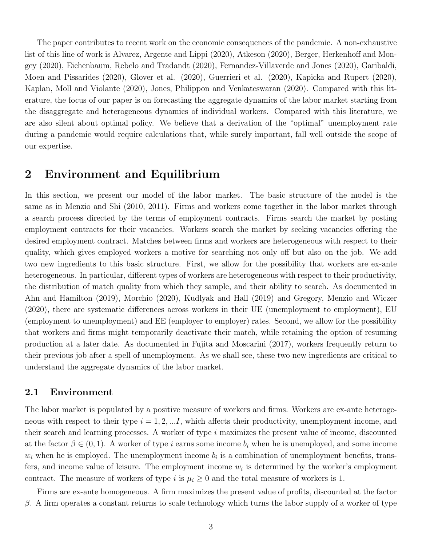The paper contributes to recent work on the economic consequences of the pandemic. A non-exhaustive list of this line of work is Alvarez, Argente and Lippi (2020), Atkeson (2020), Berger, Herkenhoff and Mongey (2020), Eichenbaum, Rebelo and Tradandt (2020), Fernandez-Villaverde and Jones (2020), Garibaldi, Moen and Pissarides (2020), Glover et al. (2020), Guerrieri et al. (2020), Kapicka and Rupert (2020), Kaplan, Moll and Violante (2020), Jones, Philippon and Venkateswaran (2020). Compared with this literature, the focus of our paper is on forecasting the aggregate dynamics of the labor market starting from the disaggregate and heterogeneous dynamics of individual workers. Compared with this literature, we are also silent about optimal policy. We believe that a derivation of the "optimal" unemployment rate during a pandemic would require calculations that, while surely important, fall well outside the scope of our expertise.

## 2 Environment and Equilibrium

In this section, we present our model of the labor market. The basic structure of the model is the same as in Menzio and Shi (2010, 2011). Firms and workers come together in the labor market through a search process directed by the terms of employment contracts. Firms search the market by posting employment contracts for their vacancies. Workers search the market by seeking vacancies offering the desired employment contract. Matches between firms and workers are heterogeneous with respect to their quality, which gives employed workers a motive for searching not only off but also on the job. We add two new ingredients to this basic structure. First, we allow for the possibility that workers are ex-ante heterogeneous. In particular, different types of workers are heterogeneous with respect to their productivity, the distribution of match quality from which they sample, and their ability to search. As documented in Ahn and Hamilton (2019), Morchio (2020), Kudlyak and Hall (2019) and Gregory, Menzio and Wiczer (2020), there are systematic differences across workers in their UE (unemployment to employment), EU (employment to unemployment) and EE (employer to employer) rates. Second, we allow for the possibility that workers and firms might temporarily deactivate their match, while retaining the option of resuming production at a later date. As documented in Fujita and Moscarini (2017), workers frequently return to their previous job after a spell of unemployment. As we shall see, these two new ingredients are critical to understand the aggregate dynamics of the labor market.

### 2.1 Environment

The labor market is populated by a positive measure of workers and firms. Workers are ex-ante heterogeneous with respect to their type  $i = 1, 2, \dots I$ , which affects their productivity, unemployment income, and their search and learning processes. A worker of type i maximizes the present value of income, discounted at the factor  $\beta \in (0,1)$ . A worker of type i earns some income  $b_i$  when he is unemployed, and some income  $w_i$  when he is employed. The unemployment income  $b_i$  is a combination of unemployment benefits, transfers, and income value of leisure. The employment income  $w_i$  is determined by the worker's employment contract. The measure of workers of type i is  $\mu_i \geq 0$  and the total measure of workers is 1.

Firms are ex-ante homogeneous. A firm maximizes the present value of profits, discounted at the factor β. A firm operates a constant returns to scale technology which turns the labor supply of a worker of type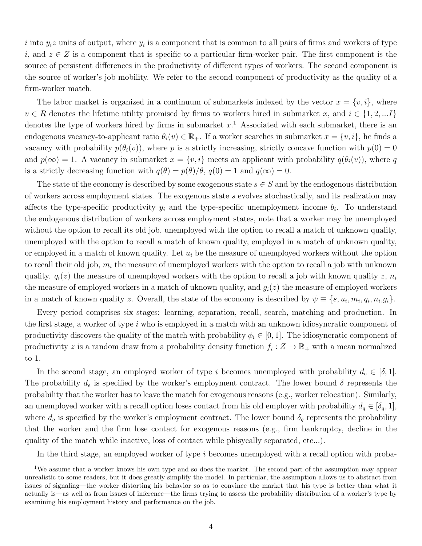i into  $y_i$ z units of output, where  $y_i$  is a component that is common to all pairs of firms and workers of type i, and  $z \in Z$  is a component that is specific to a particular firm-worker pair. The first component is the source of persistent differences in the productivity of different types of workers. The second component is the source of worker's job mobility. We refer to the second component of productivity as the quality of a firm-worker match.

The labor market is organized in a continuum of submarkets indexed by the vector  $x = \{v, i\}$ , where  $v \in R$  denotes the lifetime utility promised by firms to workers hired in submarket x, and  $i \in \{1, 2, ...I\}$ denotes the type of workers hired by firms in submarket  $x$ .<sup>1</sup> Associated with each submarket, there is an endogenous vacancy-to-applicant ratio  $\theta_i(v) \in \mathbb{R}_+$ . If a worker searches in submarket  $x = \{v, i\}$ , he finds a vacancy with probability  $p(\theta_i(v))$ , where p is a strictly increasing, strictly concave function with  $p(0) = 0$ and  $p(\infty) = 1$ . A vacancy in submarket  $x = \{v, i\}$  meets an applicant with probability  $q(\theta_i(v))$ , where q is a strictly decreasing function with  $q(\theta) = p(\theta)/\theta$ ,  $q(0) = 1$  and  $q(\infty) = 0$ .

The state of the economy is described by some exogenous state  $s \in S$  and by the endogenous distribution of workers across employment states. The exogenous state s evolves stochastically, and its realization may affects the type-specific productivity  $y_i$  and the type-specific unemployment income  $b_i$ . To understand the endogenous distribution of workers across employment states, note that a worker may be unemployed without the option to recall its old job, unemployed with the option to recall a match of unknown quality, unemployed with the option to recall a match of known quality, employed in a match of unknown quality, or employed in a match of known quality. Let  $u_i$  be the measure of unemployed workers without the option to recall their old job,  $m_i$  the measure of unemployed workers with the option to recall a job with unknown quality.  $q_i(z)$  the measure of unemployed workers with the option to recall a job with known quality z,  $n_i$ the measure of employed workers in a match of uknown quality, and  $g_i(z)$  the measure of employed workers in a match of known quality z. Overall, the state of the economy is described by  $\psi \equiv \{s, u_i, m_i, q_i, n_i, g_i\}.$ 

Every period comprises six stages: learning, separation, recall, search, matching and production. In the first stage, a worker of type i who is employed in a match with an unknown idiosyncratic component of productivity discovers the quality of the match with probability  $\phi_i \in [0, 1]$ . The idiosyncratic component of productivity z is a random draw from a probability density function  $f_i: Z \to \mathbb{R}_+$  with a mean normalized to 1.

In the second stage, an employed worker of type i becomes unemployed with probability  $d_e \in [\delta, 1]$ . The probability  $d_e$  is specified by the worker's employment contract. The lower bound  $\delta$  represents the probability that the worker has to leave the match for exogenous reasons (e.g., worker relocation). Similarly, an unemployed worker with a recall option loses contact from his old employer with probability  $d_q \in [\delta_q, 1]$ , where  $d_q$  is specified by the worker's employment contract. The lower bound  $\delta_q$  represents the probability that the worker and the firm lose contact for exogenous reasons (e.g., firm bankruptcy, decline in the quality of the match while inactive, loss of contact while phisycally separated, etc...).

In the third stage, an employed worker of type i becomes unemployed with a recall option with proba-

<sup>&</sup>lt;sup>1</sup>We assume that a worker knows his own type and so does the market. The second part of the assumption may appear unrealistic to some readers, but it does greatly simplify the model. In particular, the assumption allows us to abstract from issues of signaling—the worker distorting his behavior so as to convince the market that his type is better than what it actually is—as well as from issues of inference—the firms trying to assess the probability distribution of a worker's type by examining his employment history and performance on the job.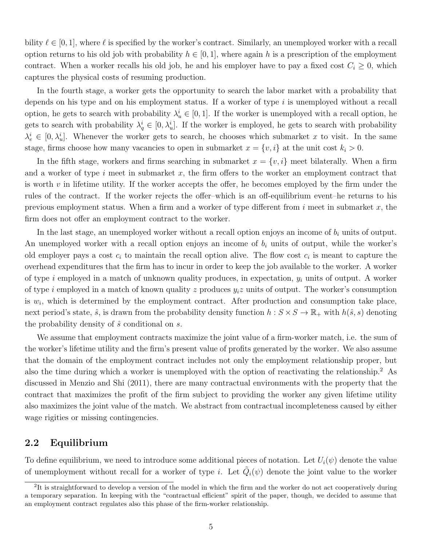bility  $\ell \in [0, 1]$ , where  $\ell$  is specified by the worker's contract. Similarly, an unemployed worker with a recall option returns to his old job with probability  $h \in [0, 1]$ , where again h is a prescription of the employment contract. When a worker recalls his old job, he and his employer have to pay a fixed cost  $C_i \geq 0$ , which captures the physical costs of resuming production.

In the fourth stage, a worker gets the opportunity to search the labor market with a probability that depends on his type and on his employment status. If a worker of type i is unemployed without a recall option, he gets to search with probability  $\lambda_u^i \in [0,1]$ . If the worker is unemployed with a recall option, he gets to search with probability  $\lambda_q^i \in [0, \lambda_u^i]$ . If the worker is employed, he gets to search with probability  $\lambda_e^i \in [0, \lambda_u^i]$ . Whenever the worker gets to search, he chooses which submarket x to visit. In the same stage, firms choose how many vacancies to open in submarket  $x = \{v, i\}$  at the unit cost  $k_i > 0$ .

In the fifth stage, workers and firms searching in submarket  $x = \{v, i\}$  meet bilaterally. When a firm and a worker of type i meet in submarket x, the firm offers to the worker an employment contract that is worth  $v$  in lifetime utility. If the worker accepts the offer, he becomes employed by the firm under the rules of the contract. If the worker rejects the offer–which is an off-equilibrium event–he returns to his previous employment status. When a firm and a worker of type different from  $i$  meet in submarket  $x$ , the firm does not offer an employment contract to the worker.

In the last stage, an unemployed worker without a recall option enjoys an income of  $b_i$  units of output. An unemployed worker with a recall option enjoys an income of  $b_i$  units of output, while the worker's old employer pays a cost  $c_i$  to maintain the recall option alive. The flow cost  $c_i$  is meant to capture the overhead expenditures that the firm has to incur in order to keep the job available to the worker. A worker of type i employed in a match of unknown quality produces, in expectation,  $y_i$  units of output. A worker of type i employed in a match of known quality z produces  $y_i z$  units of output. The worker's consumption is  $w_i$ , which is determined by the employment contract. After production and consumption take place, next period's state,  $\hat{s}$ , is drawn from the probability density function  $h : S \times S \to \mathbb{R}_+$  with  $h(\hat{s}, s)$  denoting the probability density of  $\hat{s}$  conditional on  $s$ .

We assume that employment contracts maximize the joint value of a firm-worker match, i.e. the sum of the worker's lifetime utility and the firm's present value of profits generated by the worker. We also assume that the domain of the employment contract includes not only the employment relationship proper, but also the time during which a worker is unemployed with the option of reactivating the relationship.<sup>2</sup> As discussed in Menzio and Shi (2011), there are many contractual environments with the property that the contract that maximizes the profit of the firm subject to providing the worker any given lifetime utility also maximizes the joint value of the match. We abstract from contractual incompleteness caused by either wage rigities or missing contingencies.

## 2.2 Equilibrium

To define equilibrium, we need to introduce some additional pieces of notation. Let  $U_i(\psi)$  denote the value of unemployment without recall for a worker of type *i*. Let  $\tilde{Q}_i(\psi)$  denote the joint value to the worker

<sup>&</sup>lt;sup>2</sup>It is straightforward to develop a version of the model in which the firm and the worker do not act cooperatively during a temporary separation. In keeping with the "contractual efficient" spirit of the paper, though, we decided to assume that an employment contract regulates also this phase of the firm-worker relationship.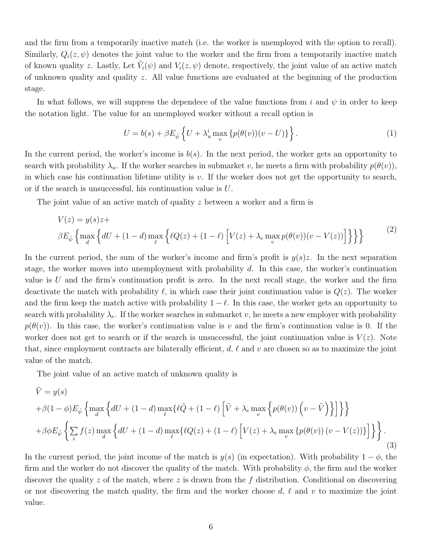and the firm from a temporarily inactive match (i.e. the worker is unemployed with the option to recall). Similarly,  $Q_i(z, \psi)$  denotes the joint value to the worker and the firm from a temporarily inactive match of known quality z. Lastly, Let  $\tilde{V}_i(\psi)$  and  $V_i(z, \psi)$  denote, respectively, the joint value of an active match of unknown quality and quality z. All value functions are evaluated at the beginning of the production stage.

In what follows, we will suppress the dependece of the value functions from i and  $\psi$  in order to keep the notation light. The value for an unemployed worker without a recall option is

$$
U = b(s) + \beta E_{\hat{\psi}} \left\{ U + \lambda_u^i \max_v \{ p(\theta(v))(v - U) \} \right\}.
$$
 (1)

In the current period, the worker's income is  $b(s)$ . In the next period, the worker gets an opportunity to search with probability  $\lambda_u$ . If the worker searches in submarket v, he meets a firm with probability  $p(\theta(v))$ , in which case his continuation lifetime utility is  $v$ . If the worker does not get the opportunity to search, or if the search is unsuccessful, his continuation value is U.

The joint value of an active match of quality  $z$  between a worker and a firm is

$$
V(z) = y(s)z +
$$
  
\n
$$
\beta E_{\hat{\psi}} \left\{ \max_{d} \left\{ dU + (1 - d) \max_{\ell} \left\{ \ell Q(z) + (1 - \ell) \left[ V(z) + \lambda_e \max_{v} p(\theta(v)) (v - V(z)) \right] \right\} \right\} \right\}
$$
\n
$$
(2)
$$

In the current period, the sum of the worker's income and firm's profit is  $y(s)z$ . In the next separation stage, the worker moves into unemployment with probability  $d$ . In this case, the worker's continuation value is  $U$  and the firm's continuation profit is zero. In the next recall stage, the worker and the firm deactivate the match with probability  $\ell$ , in which case their joint continuation value is  $Q(z)$ . The worker and the firm keep the match active with probability  $1 - \ell$ . In this case, the worker gets an opportunity to search with probability  $\lambda_e$ . If the worker searches in submarket v, he meets a new employer with probability  $p(\theta(v))$ . In this case, the worker's continuation value is v and the firm's continuation value is 0. If the worker does not get to search or if the search is unsuccessful, the joint continuation value is  $V(z)$ . Note that, since employment contracts are bilaterally efficient,  $d, \ell$  and v are chosen so as to maximize the joint value of the match.

The joint value of an active match of unknown quality is

$$
\tilde{V} = y(s)
$$
  
+ $\beta(1 - \phi)E_{\hat{\psi}} \left\{ \max_{d} \left\{ dU + (1 - d) \max_{\ell} \{ \ell \tilde{Q} + (1 - \ell) \left[ \tilde{V} + \lambda_e \max_{v} \left\{ p(\theta(v)) \left( v - \tilde{V} \right) \right\} \right] \} \right\}$   
+ $\beta \phi E_{\hat{\psi}} \left\{ \sum_{z} f(z) \max_{d} \left\{ dU + (1 - d) \max_{\ell} \{ \ell Q(z) + (1 - \ell) \left[ V(z) + \lambda_e \max_{v} \left\{ p(\theta(v)) \left( v - V(z) \right) \right\} \right] \} \right\}.$ \n(3)

In the current period, the joint income of the match is  $y(s)$  (in expectation). With probability  $1 - \phi$ , the firm and the worker do not discover the quality of the match. With probability  $\phi$ , the firm and the worker discover the quality z of the match, where z is drawn from the f distribution. Conditional on discovering or nor discovering the match quality, the firm and the worker choose d,  $\ell$  and v to maximize the joint value.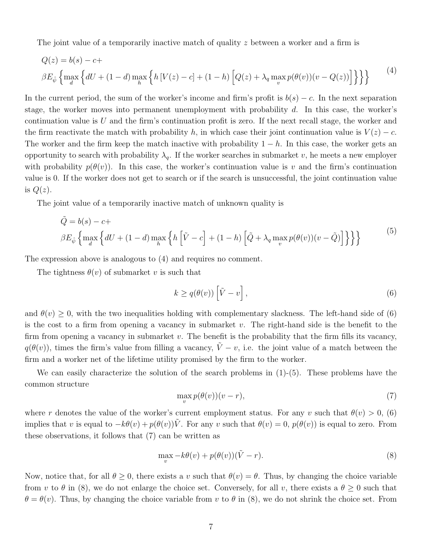The joint value of a temporarily inactive match of quality z between a worker and a firm is

$$
Q(z) = b(s) - c +
$$
  
\n
$$
\beta E_{\hat{\psi}} \left\{ \max_{d} \left\{ dU + (1 - d) \max_{h} \left\{ h \left[ V(z) - c \right] + (1 - h) \left[ Q(z) + \lambda_q \max_{v} p(\theta(v)) (v - Q(z)) \right] \right\} \right\} \right\}
$$
\n<sup>(4)</sup>

In the current period, the sum of the worker's income and firm's profit is  $b(s) - c$ . In the next separation stage, the worker moves into permanent unemployment with probability  $d$ . In this case, the worker's continuation value is  $U$  and the firm's continuation profit is zero. If the next recall stage, the worker and the firm reactivate the match with probability h, in which case their joint continuation value is  $V(z) - c$ . The worker and the firm keep the match inactive with probability  $1 - h$ . In this case, the worker gets an opportunity to search with probability  $\lambda_q$ . If the worker searches in submarket v, he meets a new employer with probability  $p(\theta(v))$ . In this case, the worker's continuation value is v and the firm's continuation value is 0. If the worker does not get to search or if the search is unsuccessful, the joint continuation value is  $Q(z)$ .

The joint value of a temporarily inactive match of unknown quality is

$$
\tilde{Q} = b(s) - c +
$$
\n
$$
\beta E_{\hat{\psi}} \left\{ \max_{d} \left\{ dU + (1 - d) \max_{h} \left\{ h \left[ \tilde{V} - c \right] + (1 - h) \left[ \tilde{Q} + \lambda_{q} \max_{v} p(\theta(v)) (v - \tilde{Q}) \right] \right\} \right\} \right\}
$$
\n
$$
(5)
$$

The expression above is analogous to (4) and requires no comment.

The tightness  $\theta(v)$  of submarket v is such that

$$
k \ge q(\theta(v)) \left[ \tilde{V} - v \right], \tag{6}
$$

and  $\theta(v) > 0$ , with the two inequalities holding with complementary slackness. The left-hand side of (6) is the cost to a firm from opening a vacancy in submarket v. The right-hand side is the benefit to the firm from opening a vacancy in submarket  $v$ . The benefit is the probability that the firm fills its vacancy,  $q(\theta(v))$ , times the firm's value from filling a vacancy,  $\tilde{V}-v$ , i.e. the joint value of a match between the firm and a worker net of the lifetime utility promised by the firm to the worker.

We can easily characterize the solution of the search problems in (1)-(5). These problems have the common structure

$$
\max_{v} p(\theta(v))(v-r),\tag{7}
$$

where r denotes the value of the worker's current employment status. For any v such that  $\theta(v) > 0$ , (6) implies that v is equal to  $-k\theta(v) + p(\theta(v))\tilde{V}$ . For any v such that  $\theta(v) = 0$ ,  $p(\theta(v))$  is equal to zero. From these observations, it follows that (7) can be written as

$$
\max_{v} -k\theta(v) + p(\theta(v))(\tilde{V} - r).
$$
\n(8)

Now, notice that, for all  $\theta \geq 0$ , there exists a v such that  $\theta(v) = \theta$ . Thus, by changing the choice variable from v to  $\theta$  in (8), we do not enlarge the choice set. Conversely, for all v, there exists a  $\theta \geq 0$  such that  $\theta = \theta(v)$ . Thus, by changing the choice variable from v to  $\theta$  in (8), we do not shrink the choice set. From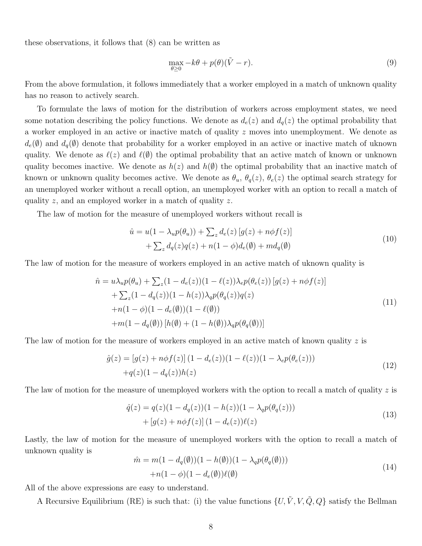these observations, it follows that (8) can be written as

$$
\max_{\theta \ge 0} -k\theta + p(\theta)(\tilde{V} - r). \tag{9}
$$

From the above formulation, it follows immediately that a worker employed in a match of unknown quality has no reason to actively search.

To formulate the laws of motion for the distribution of workers across employment states, we need some notation describing the policy functions. We denote as  $d_e(z)$  and  $d_q(z)$  the optimal probability that a worker employed in an active or inactive match of quality z moves into unemployment. We denote as  $d_e(\emptyset)$  and  $d_q(\emptyset)$  denote that probability for a worker employed in an active or inactive match of uknown quality. We denote as  $\ell(z)$  and  $\ell(\emptyset)$  the optimal probability that an active match of known or unknown quality becomes inactive. We denote as  $h(z)$  and  $h(\emptyset)$  the optimal probability that an inactive match of known or unknown quality becomes active. We denote as  $\theta_u$ ,  $\theta_q(z)$ ,  $\theta_e(z)$  the optimal search strategy for an unemployed worker without a recall option, an unemployed worker with an option to recall a match of quality z, and an employed worker in a match of quality z.

The law of motion for the measure of unemployed workers without recall is

$$
\hat{u} = u(1 - \lambda_u p(\theta_u)) + \sum_z d_e(z) \left[ g(z) + n\phi f(z) \right] \n+ \sum_z d_q(z) q(z) + n(1 - \phi) d_e(\emptyset) + m d_q(\emptyset)
$$
\n(10)

The law of motion for the measure of workers employed in an active match of uknown quality is

$$
\hat{n} = u\lambda_u p(\theta_u) + \sum_z (1 - d_e(z))(1 - \ell(z))\lambda_e p(\theta_e(z)) [g(z) + n\phi f(z)] \n+ \sum_z (1 - d_q(z))(1 - h(z))\lambda_q p(\theta_q(z))q(z) \n+ n(1 - \phi)(1 - d_e(\emptyset))(1 - \ell(\emptyset)) \n+ m(1 - d_q(\emptyset)) [h(\emptyset) + (1 - h(\emptyset))\lambda_q p(\theta_q(\emptyset))]
$$
\n(11)

The law of motion for the measure of workers employed in an active match of known quality  $z$  is

$$
\hat{g}(z) = [g(z) + n\phi f(z)] (1 - d_e(z))(1 - \ell(z))(1 - \lambda_e p(\theta_e(z))) \n+q(z)(1 - d_q(z))h(z)
$$
\n(12)

The law of motion for the measure of unemployed workers with the option to recall a match of quality  $z$  is

$$
\hat{q}(z) = q(z)(1 - d_q(z))(1 - h(z))(1 - \lambda_q p(\theta_q(z))) + [g(z) + n\phi f(z)] (1 - d_e(z))\ell(z)
$$
\n(13)

Lastly, the law of motion for the measure of unemployed workers with the option to recall a match of unknown quality is

$$
\hat{m} = m(1 - d_q(\emptyset))(1 - h(\emptyset))(1 - \lambda_q p(\theta_q(\emptyset))) + n(1 - \phi)(1 - d_e(\emptyset))\ell(\emptyset)
$$
\n(14)

All of the above expressions are easy to understand.

A Recursive Equilibrium (RE) is such that: (i) the value functions  $\{U, \tilde{V}, V, \tilde{Q}, Q\}$  satisfy the Bellman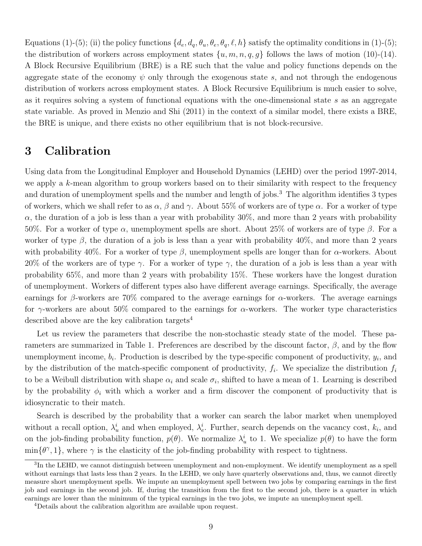Equations (1)-(5); (ii) the policy functions  $\{d_e, d_q, \theta_u, \theta_e, \theta_q, \ell, h\}$  satisfy the optimality conditions in (1)-(5); the distribution of workers across employment states  $\{u, m, n, q, g\}$  follows the laws of motion (10)-(14). A Block Recursive Equilibrium (BRE) is a RE such that the value and policy functions depends on the aggregate state of the economy  $\psi$  only through the exogenous state s, and not through the endogenous distribution of workers across employment states. A Block Recursive Equilibrium is much easier to solve, as it requires solving a system of functional equations with the one-dimensional state s as an aggregate state variable. As proved in Menzio and Shi (2011) in the context of a similar model, there exists a BRE, the BRE is unique, and there exists no other equilibrium that is not block-recursive.

## 3 Calibration

Using data from the Longitudinal Employer and Household Dynamics (LEHD) over the period 1997-2014, we apply a k-mean algorithm to group workers based on to their similarity with respect to the frequency and duration of unemployment spells and the number and length of jobs.<sup>3</sup> The algorithm identifies 3 types of workers, which we shall refer to as  $\alpha$ ,  $\beta$  and  $\gamma$ . About 55% of workers are of type  $\alpha$ . For a worker of type  $\alpha$ , the duration of a job is less than a year with probability 30%, and more than 2 years with probability 50%. For a worker of type  $\alpha$ , unemployment spells are short. About 25% of workers are of type  $\beta$ . For a worker of type  $\beta$ , the duration of a job is less than a year with probability 40%, and more than 2 years with probability 40%. For a worker of type  $\beta$ , unemployment spells are longer than for  $\alpha$ -workers. About 20% of the workers are of type  $\gamma$ . For a worker of type  $\gamma$ , the duration of a job is less than a year with probability 65%, and more than 2 years with probability 15%. These workers have the longest duration of unemployment. Workers of different types also have different average earnings. Specifically, the average earnings for β-workers are  $70\%$  compared to the average earnings for  $\alpha$ -workers. The average earnings for  $\gamma$ -workers are about 50% compared to the earnings for  $\alpha$ -workers. The worker type characteristics described above are the key calibration targets<sup>4</sup>

Let us review the parameters that describe the non-stochastic steady state of the model. These parameters are summarized in Table 1. Preferences are described by the discount factor,  $\beta$ , and by the flow unemployment income,  $b_i$ . Production is described by the type-specific component of productivity,  $y_i$ , and by the distribution of the match-specific component of productivity,  $f_i$ . We specialize the distribution  $f_i$ to be a Weibull distribution with shape  $\alpha_i$  and scale  $\sigma_i$ , shifted to have a mean of 1. Learning is described by the probability  $\phi_i$  with which a worker and a firm discover the component of productivity that is idiosyncratic to their match.

Search is described by the probability that a worker can search the labor market when unemployed without a recall option,  $\lambda_u^i$  and when employed,  $\lambda_e^i$ . Further, search depends on the vacancy cost,  $k_i$ , and on the job-finding probability function,  $p(\theta)$ . We normalize  $\lambda_u^i$  to 1. We specialize  $p(\theta)$  to have the form  $\min\{\theta^{\gamma},1\}$ , where  $\gamma$  is the elasticity of the job-finding probability with respect to tightness.

 ${}^{3}$ In the LEHD, we cannot distinguish between unemployment and non-employment. We identify unemployment as a spell without earnings that lasts less than 2 years. In the LEHD, we only have quarterly observations and, thus, we cannot directly measure short unemployment spells. We impute an unemployment spell between two jobs by comparing earnings in the first job and earnings in the second job. If, during the transition from the first to the second job, there is a quarter in which earnings are lower than the minimum of the typical earnings in the two jobs, we impute an unemployment spell.

<sup>4</sup>Details about the calibration algorithm are available upon request.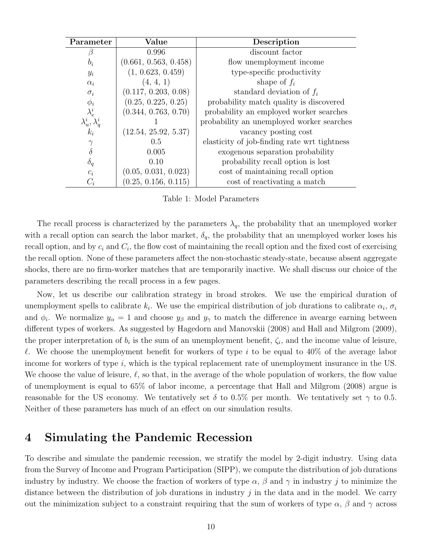| Parameter                  | Value                 | Description                                  |  |
|----------------------------|-----------------------|----------------------------------------------|--|
| ß                          | 0.996                 | discount factor                              |  |
| $b_i$                      | (0.661, 0.563, 0.458) | flow unemployment income                     |  |
| $y_i$                      | (1, 0.623, 0.459)     | type-specific productivity                   |  |
| $\alpha_i$                 | (4, 4, 1)             | shape of $f_i$                               |  |
| $\sigma_i$                 | (0.117, 0.203, 0.08)  | standard deviation of $f_i$                  |  |
| $\phi_i$                   | (0.25, 0.225, 0.25)   | probability match quality is discovered      |  |
| $\lambda_e^i$              | (0.344, 0.763, 0.70)  | probability an employed worker searches      |  |
| $\lambda_u^i, \lambda_q^i$ |                       | probability an unemployed worker searches    |  |
| $k_i$                      | (12.54, 25.92, 5.37)  | vacancy posting cost                         |  |
| $\gamma$                   | 0.5                   | elasticity of job-finding rate wrt tightness |  |
| $\delta$                   | 0.005                 | exogenous separation probability             |  |
| $\delta_q$                 | 0.10                  | probability recall option is lost            |  |
| $c_i$                      | (0.05, 0.031, 0.023)  | cost of maintaining recall option            |  |
| $C_i$                      | (0.25, 0.156, 0.115)  | cost of reactivating a match                 |  |

Table 1: Model Parameters

The recall process is characterized by the parameters  $\lambda_q$ , the probability that an unemployed worker with a recall option can search the labor market,  $\delta_q$ , the probability that an unemployed worker loses his recall option, and by  $c_i$  and  $C_i$ , the flow cost of maintaining the recall option and the fixed cost of exercising the recall option. None of these parameters affect the non-stochastic steady-state, because absent aggregate shocks, there are no firm-worker matches that are temporarily inactive. We shall discuss our choice of the parameters describing the recall process in a few pages.

Now, let us describe our calibration strategy in broad strokes. We use the empirical duration of unemployment spells to calibrate  $k_i$ . We use the empirical distribution of job durations to calibrate  $\alpha_i$ ,  $\sigma_i$ and  $\phi_i$ . We normalize  $y_\alpha = 1$  and choose  $y_\beta$  and  $y_\gamma$  to match the difference in avearge earning between different types of workers. As suggested by Hagedorn and Manovskii (2008) and Hall and Milgrom (2009), the proper interpretation of  $b_i$  is the sum of an unemployment benefit,  $\zeta_i$ , and the income value of leisure,  $\ell$ . We choose the unemployment benefit for workers of type i to be equal to 40% of the average labor income for workers of type i, which is the typical replacement rate of unemployment insurance in the US. We choose the value of leisure,  $\ell$ , so that, in the average of the whole population of workers, the flow value of unemployment is equal to 65% of labor income, a percentage that Hall and Milgrom (2008) argue is reasonable for the US economy. We tentatively set  $\delta$  to 0.5% per month. We tentatively set  $\gamma$  to 0.5. Neither of these parameters has much of an effect on our simulation results.

## 4 Simulating the Pandemic Recession

To describe and simulate the pandemic recession, we stratify the model by 2-digit industry. Using data from the Survey of Income and Program Participation (SIPP), we compute the distribution of job durations industry by industry. We choose the fraction of workers of type  $\alpha$ ,  $\beta$  and  $\gamma$  in industry j to minimize the distance between the distribution of job durations in industry  $j$  in the data and in the model. We carry out the minimization subject to a constraint requiring that the sum of workers of type  $\alpha$ ,  $\beta$  and  $\gamma$  across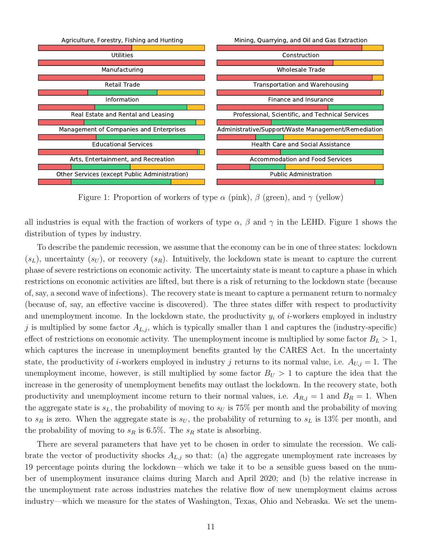

Figure 1: Proportion of workers of type  $\alpha$  (pink),  $\beta$  (green), and  $\gamma$  (yellow)

all industries is equal with the fraction of workers of type  $\alpha$ ,  $\beta$  and  $\gamma$  in the LEHD. Figure 1 shows the distribution of types by industry.

To describe the pandemic recession, we assume that the economy can be in one of three states: lockdown  $(s_L)$ , uncertainty  $(s_U)$ , or recovery  $(s_R)$ . Intuitively, the lockdown state is meant to capture the current phase of severe restrictions on economic activity. The uncertainty state is meant to capture a phase in which restrictions on economic activities are lifted, but there is a risk of returning to the lockdown state (because of, say, a second wave of infections). The recovery state is meant to capture a permanent return to normalcy (because of, say, an effective vaccine is discovered). The three states differ with respect to productivity and unemployment income. In the lockdown state, the productivity  $y_i$  of *i*-workers employed in industry j is multiplied by some factor  $A_{L,j}$ , which is typically smaller than 1 and captures the (industry-specific) effect of restrictions on economic activity. The unemployment income is multiplied by some factor  $B<sub>L</sub> > 1$ , which captures the increase in unemployment benefits granted by the CARES Act. In the uncertainty state, the productivity of *i*-workers employed in industry *j* returns to its normal value, i.e.  $A_{U,j} = 1$ . The unemployment income, however, is still multiplied by some factor  $B_U > 1$  to capture the idea that the increase in the generosity of unemployment benefits may outlast the lockdown. In the recovery state, both productivity and unemployment income return to their normal values, i.e.  $A_{R,j} = 1$  and  $B_R = 1$ . When the aggregate state is  $s_L$ , the probability of moving to  $s_U$  is 75% per month and the probability of moving to  $s_R$  is zero. When the aggregate state is  $s_U$ , the probability of returning to  $s_L$  is 13% per month, and the probability of moving to  $s_R$  is 6.5%. The  $s_R$  state is absorbing.

There are several parameters that have yet to be chosen in order to simulate the recession. We calibrate the vector of productivity shocks  $A_{L,j}$  so that: (a) the aggregate unemployment rate increases by 19 percentage points during the lockdown—which we take it to be a sensible guess based on the number of unemployment insurance claims during March and April 2020; and (b) the relative increase in the unemployment rate across industries matches the relative flow of new unemployment claims across industry—which we measure for the states of Washington, Texas, Ohio and Nebraska. We set the unem-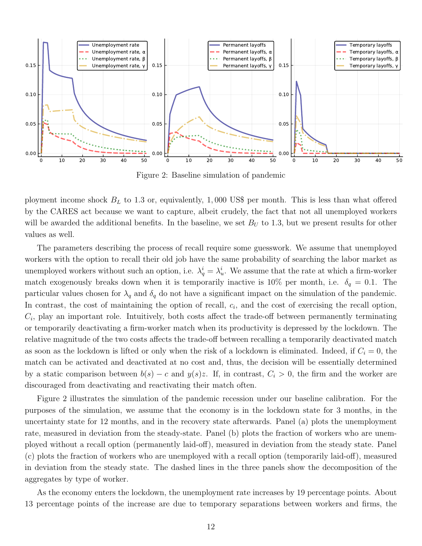

Figure 2: Baseline simulation of pandemic

ployment income shock  $B_L$  to 1.3 or, equivalently, 1,000 US\$ per month. This is less than what offered by the CARES act because we want to capture, albeit crudely, the fact that not all unemployed workers will be awarded the additional benefits. In the baseline, we set  $B_U$  to 1.3, but we present results for other values as well.

The parameters describing the process of recall require some guesswork. We assume that unemployed workers with the option to recall their old job have the same probability of searching the labor market as unemployed workers without such an option, i.e.  $\lambda_q^i = \lambda_u^i$ . We assume that the rate at which a firm-worker match exogenously breaks down when it is temporarily inactive is 10% per month, i.e.  $\delta_q = 0.1$ . The particular values chosen for  $\lambda_q$  and  $\delta_q$  do not have a significant impact on the simulation of the pandemic. In contrast, the cost of maintaining the option of recall,  $c_i$ , and the cost of exercising the recall option,  $C_i$ , play an important role. Intuitively, both costs affect the trade-off between permanently terminating or temporarily deactivating a firm-worker match when its productivity is depressed by the lockdown. The relative magnitude of the two costs affects the trade-off between recalling a temporarily deactivated match as soon as the lockdown is lifted or only when the risk of a lockdown is eliminated. Indeed, if  $C_i = 0$ , the match can be activated and deactivated at no cost and, thus, the decision will be essentially determined by a static comparison between  $b(s) - c$  and  $y(s)z$ . If, in contrast,  $C_i > 0$ , the firm and the worker are discouraged from deactivating and reactivating their match often.

Figure 2 illustrates the simulation of the pandemic recession under our baseline calibration. For the purposes of the simulation, we assume that the economy is in the lockdown state for 3 months, in the uncertainty state for 12 months, and in the recovery state afterwards. Panel (a) plots the unemployment rate, measured in deviation from the steady-state. Panel (b) plots the fraction of workers who are unemployed without a recall option (permanently laid-off), measured in deviation from the steady state. Panel (c) plots the fraction of workers who are unemployed with a recall option (temporarily laid-off), measured in deviation from the steady state. The dashed lines in the three panels show the decomposition of the aggregates by type of worker.

As the economy enters the lockdown, the unemployment rate increases by 19 percentage points. About 13 percentage points of the increase are due to temporary separations between workers and firms, the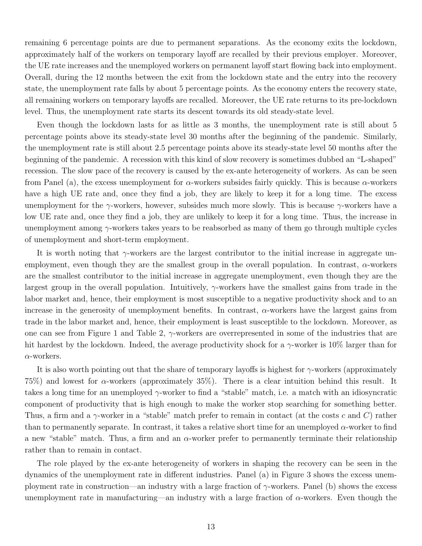remaining 6 percentage points are due to permanent separations. As the economy exits the lockdown, approximately half of the workers on temporary layoff are recalled by their previous employer. Moreover, the UE rate increases and the unemployed workers on permanent layoff start flowing back into employment. Overall, during the 12 months between the exit from the lockdown state and the entry into the recovery state, the unemployment rate falls by about 5 percentage points. As the economy enters the recovery state, all remaining workers on temporary layoffs are recalled. Moreover, the UE rate returns to its pre-lockdown level. Thus, the unemployment rate starts its descent towards its old steady-state level.

Even though the lockdown lasts for as little as 3 months, the unemployment rate is still about 5 percentage points above its steady-state level 30 months after the beginning of the pandemic. Similarly, the unemployment rate is still about 2.5 percentage points above its steady-state level 50 months after the beginning of the pandemic. A recession with this kind of slow recovery is sometimes dubbed an "L-shaped" recession. The slow pace of the recovery is caused by the ex-ante heterogeneity of workers. As can be seen from Panel (a), the excess unemployment for  $\alpha$ -workers subsides fairly quickly. This is because  $\alpha$ -workers have a high UE rate and, once they find a job, they are likely to keep it for a long time. The excess unemployment for the  $\gamma$ -workers, however, subsides much more slowly. This is because  $\gamma$ -workers have a low UE rate and, once they find a job, they are unlikely to keep it for a long time. Thus, the increase in unemployment among  $\gamma$ -workers takes years to be reabsorbed as many of them go through multiple cycles of unemployment and short-term employment.

It is worth noting that  $\gamma$ -workers are the largest contributor to the initial increase in aggregate unemployment, even though they are the smallest group in the overall population. In contrast,  $\alpha$ -workers are the smallest contributor to the initial increase in aggregate unemployment, even though they are the largest group in the overall population. Intuitively,  $\gamma$ -workers have the smallest gains from trade in the labor market and, hence, their employment is most susceptible to a negative productivity shock and to an increase in the generosity of unemployment benefits. In contrast,  $\alpha$ -workers have the largest gains from trade in the labor market and, hence, their employment is least susceptible to the lockdown. Moreover, as one can see from Figure 1 and Table 2,  $\gamma$ -workers are overrepresented in some of the industries that are hit hardest by the lockdown. Indeed, the average productivity shock for a  $\gamma$ -worker is 10% larger than for  $\alpha$ -workers.

It is also worth pointing out that the share of temporary layoffs is highest for  $\gamma$ -workers (approximately 75%) and lowest for  $\alpha$ -workers (approximately 35%). There is a clear intuition behind this result. It takes a long time for an unemployed  $\gamma$ -worker to find a "stable" match, i.e. a match with an idiosyncratic component of productivity that is high enough to make the worker stop searching for something better. Thus, a firm and a  $\gamma$ -worker in a "stable" match prefer to remain in contact (at the costs c and C) rather than to permanently separate. In contrast, it takes a relative short time for an unemployed  $\alpha$ -worker to find a new "stable" match. Thus, a firm and an  $\alpha$ -worker prefer to permanently terminate their relationship rather than to remain in contact.

The role played by the ex-ante heterogeneity of workers in shaping the recovery can be seen in the dynamics of the unemployment rate in different industries. Panel (a) in Figure 3 shows the excess unemployment rate in construction—an industry with a large fraction of  $\gamma$ -workers. Panel (b) shows the excess unemployment rate in manufacturing—an industry with a large fraction of  $\alpha$ -workers. Even though the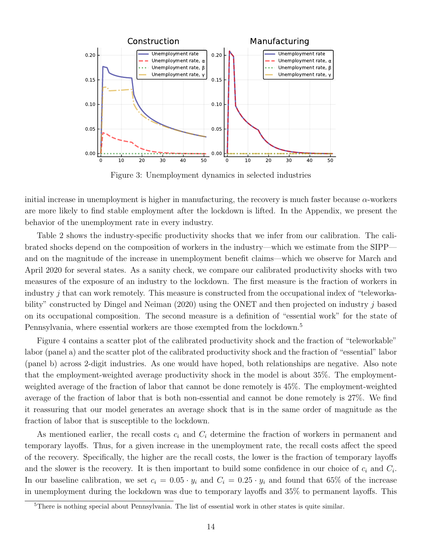

Figure 3: Unemployment dynamics in selected industries

initial increase in unemployment is higher in manufacturing, the recovery is much faster because  $\alpha$ -workers are more likely to find stable employment after the lockdown is lifted. In the Appendix, we present the behavior of the unemployment rate in every industry.

Table 2 shows the industry-specific productivity shocks that we infer from our calibration. The calibrated shocks depend on the composition of workers in the industry—which we estimate from the SIPP and on the magnitude of the increase in unemployment benefit claims—which we observe for March and April 2020 for several states. As a sanity check, we compare our calibrated productivity shocks with two measures of the exposure of an industry to the lockdown. The first measure is the fraction of workers in industry j that can work remotely. This measure is constructed from the occupational index of "teleworkability" constructed by Dingel and Neiman (2020) using the ONET and then projected on industry j based on its occupational composition. The second measure is a definition of "essential work" for the state of Pennsylvania, where essential workers are those exempted from the lockdown.<sup>5</sup>

Figure 4 contains a scatter plot of the calibrated productivity shock and the fraction of "teleworkable" labor (panel a) and the scatter plot of the calibrated productivity shock and the fraction of "essential" labor (panel b) across 2-digit industries. As one would have hoped, both relationships are negative. Also note that the employment-weighted average productivity shock in the model is about 35%. The employmentweighted average of the fraction of labor that cannot be done remotely is 45%. The employment-weighted average of the fraction of labor that is both non-essential and cannot be done remotely is 27%. We find it reassuring that our model generates an average shock that is in the same order of magnitude as the fraction of labor that is susceptible to the lockdown.

As mentioned earlier, the recall costs  $c_i$  and  $C_i$  determine the fraction of workers in permanent and temporary layoffs. Thus, for a given increase in the unemployment rate, the recall costs affect the speed of the recovery. Specifically, the higher are the recall costs, the lower is the fraction of temporary layoffs and the slower is the recovery. It is then important to build some confidence in our choice of  $c_i$  and  $C_i$ . In our baseline calibration, we set  $c_i = 0.05 \cdot y_i$  and  $C_i = 0.25 \cdot y_i$  and found that 65% of the increase in unemployment during the lockdown was due to temporary layoffs and 35% to permanent layoffs. This

<sup>&</sup>lt;sup>5</sup>There is nothing special about Pennsylvania. The list of essential work in other states is quite similar.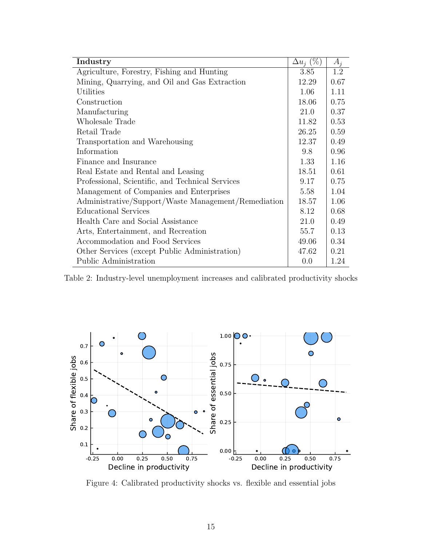| Industry                                            | $\Delta u_i$ (%) | $A_i$ |
|-----------------------------------------------------|------------------|-------|
| Agriculture, Forestry, Fishing and Hunting          | 3.85             | 1.2   |
| Mining, Quarrying, and Oil and Gas Extraction       |                  | 0.67  |
| Utilities                                           |                  | 1.11  |
| Construction                                        |                  | 0.75  |
| Manufacturing                                       |                  | 0.37  |
| Wholesale Trade                                     |                  | 0.53  |
| Retail Trade                                        | 26.25            | 0.59  |
| Transportation and Warehousing                      | 12.37            | 0.49  |
| Information                                         |                  | 0.96  |
| Finance and Insurance                               | 1.33             | 1.16  |
| Real Estate and Rental and Leasing                  | 18.51            | 0.61  |
| Professional, Scientific, and Technical Services    | 9.17             | 0.75  |
| Management of Companies and Enterprises             | 5.58             | 1.04  |
| Administrative/Support/Waste Management/Remediation | 18.57            | 1.06  |
| <b>Educational Services</b>                         | 8.12             | 0.68  |
| Health Care and Social Assistance                   | 21.0             | 0.49  |
| Arts, Entertainment, and Recreation                 | 55.7             | 0.13  |
| Accommodation and Food Services                     | 49.06            | 0.34  |
| Other Services (except Public Administration)       | 47.62            | 0.21  |
| Public Administration                               |                  | 1.24  |

Table 2: Industry-level unemployment increases and calibrated productivity shocks



Figure 4: Calibrated productivity shocks vs. flexible and essential jobs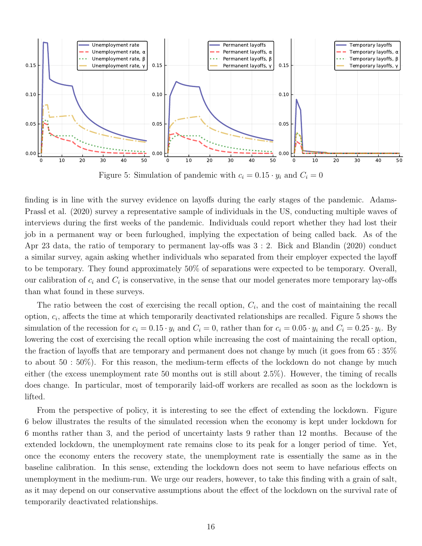

Figure 5: Simulation of pandemic with  $c_i = 0.15 \cdot y_i$  and  $C_i = 0$ 

finding is in line with the survey evidence on layoffs during the early stages of the pandemic. Adams-Prassl et al. (2020) survey a representative sample of individuals in the US, conducting multiple waves of interviews during the first weeks of the pandemic. Individuals could report whether they had lost their job in a permanent way or been furloughed, implying the expectation of being called back. As of the Apr 23 data, the ratio of temporary to permanent lay-offs was 3 : 2. Bick and Blandin (2020) conduct a similar survey, again asking whether individuals who separated from their employer expected the layoff to be temporary. They found approximately 50% of separations were expected to be temporary. Overall, our calibration of  $c_i$  and  $C_i$  is conservative, in the sense that our model generates more temporary lay-offs than what found in these surveys.

The ratio between the cost of exercising the recall option,  $C_i$ , and the cost of maintaining the recall option,  $c_i$ , affects the time at which temporarily deactivated relationships are recalled. Figure 5 shows the simulation of the recession for  $c_i = 0.15 \cdot y_i$  and  $C_i = 0$ , rather than for  $c_i = 0.05 \cdot y_i$  and  $C_i = 0.25 \cdot y_i$ . By lowering the cost of exercising the recall option while increasing the cost of maintaining the recall option, the fraction of layoffs that are temporary and permanent does not change by much (it goes from 65 : 35% to about 50 : 50%). For this reason, the medium-term effects of the lockdown do not change by much either (the excess unemployment rate 50 months out is still about 2.5%). However, the timing of recalls does change. In particular, most of temporarily laid-off workers are recalled as soon as the lockdown is lifted.

From the perspective of policy, it is interesting to see the effect of extending the lockdown. Figure 6 below illustrates the results of the simulated recession when the economy is kept under lockdown for 6 months rather than 3, and the period of uncertainty lasts 9 rather than 12 months. Because of the extended lockdown, the unemployment rate remains close to its peak for a longer period of time. Yet, once the economy enters the recovery state, the unemployment rate is essentially the same as in the baseline calibration. In this sense, extending the lockdown does not seem to have nefarious effects on unemployment in the medium-run. We urge our readers, however, to take this finding with a grain of salt, as it may depend on our conservative assumptions about the effect of the lockdown on the survival rate of temporarily deactivated relationships.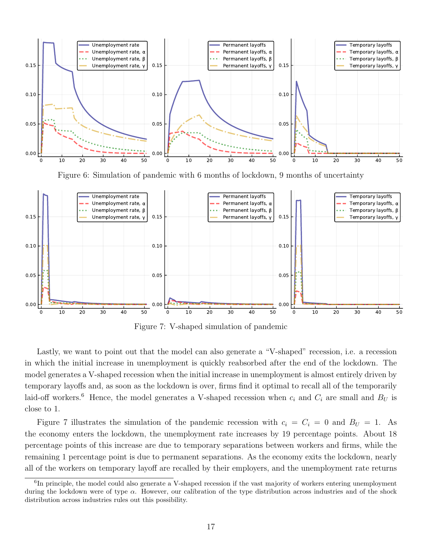

Figure 6: Simulation of pandemic with 6 months of lockdown, 9 months of uncertainty



Figure 7: V-shaped simulation of pandemic

Lastly, we want to point out that the model can also generate a "V-shaped" recession, i.e. a recession in which the initial increase in unemployment is quickly reabsorbed after the end of the lockdown. The model generates a V-shaped recession when the initial increase in unemployment is almost entirely driven by temporary layoffs and, as soon as the lockdown is over, firms find it optimal to recall all of the temporarily laid-off workers.<sup>6</sup> Hence, the model generates a V-shaped recession when  $c_i$  and  $C_i$  are small and  $B_U$  is close to 1.

Figure 7 illustrates the simulation of the pandemic recession with  $c_i = C_i = 0$  and  $B_U = 1$ . As the economy enters the lockdown, the unemployment rate increases by 19 percentage points. About 18 percentage points of this increase are due to temporary separations between workers and firms, while the remaining 1 percentage point is due to permanent separations. As the economy exits the lockdown, nearly all of the workers on temporary layoff are recalled by their employers, and the unemployment rate returns

<sup>&</sup>lt;sup>6</sup>In principle, the model could also generate a V-shaped recession if the vast majority of workers entering unemployment during the lockdown were of type  $\alpha$ . However, our calibration of the type distribution across industries and of the shock distribution across industries rules out this possibility.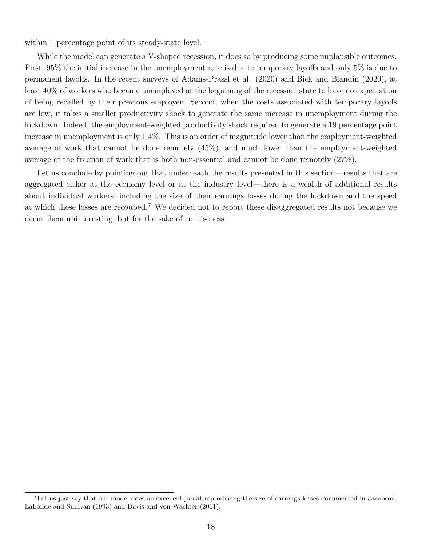within 1 percentage point of its steady-state level.

While the model can generate a V-shaped recession, it does so by producing some implausible outcomes. First, 95% the initial increase in the unemployment rate is due to temporary layoffs and only 5% is due to permanent layoffs. In the recent surveys of Adams-Prassl et al. (2020) and Bick and Blandin (2020), at least 40% of workers who became unemployed at the beginning of the recession state to have no expectation of being recalled by their previous employer. Second, when the costs associated with temporary layoffs are low, it takes a smaller productivity shock to generate the same increase in unemployment during the lockdown. Indeed, the employment-weighted productivity shock required to generate a 19 percentage point increase in unemployment is only 1.4%. This is an order of magnitude lower than the employment-weighted average of work that cannot be done remotely (45%), and much lower than the employment-weighted average of the fraction of work that is both non-essential and cannot be done remotely (27%).

Let us conclude by pointing out that underneath the results presented in this section—results that are aggregated either at the economy level or at the industry level—there is a wealth of additional results about individual workers, including the size of their earnings losses during the lockdown and the speed at which these losses are recouped.<sup>7</sup> We decided not to report these disaggregated results not because we deem them uninteresting, but for the sake of conciseness.

<sup>7</sup>Let us just say that our model does an excellent job at reproducing the size of earnings losses documented in Jacobson, LaLonde and Sullivan (1993) and Davis and von Wachter (2011).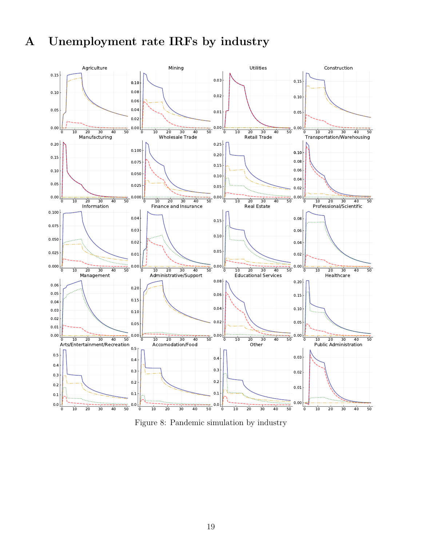# A Unemployment rate IRFs by industry



Figure 8: Pandemic simulation by industry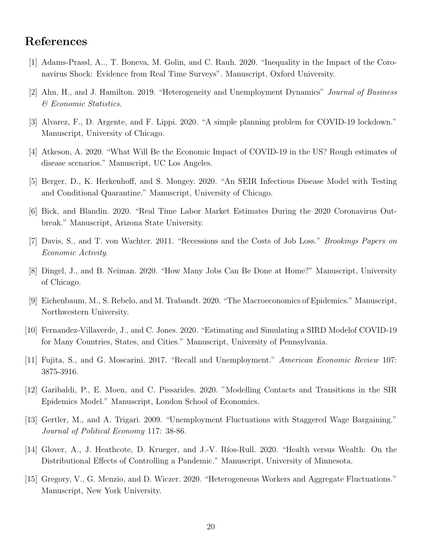# References

- [1] Adams-Prassl, A.., T. Boneva, M. Golin, and C. Rauh. 2020. "Inequality in the Impact of the Coronavirus Shock: Evidence from Real Time Surveys". Manuscript, Oxford University.
- [2] Ahn, H., and J. Hamilton. 2019. "Heterogeneity and Unemployment Dynamics" Journal of Business & Economic Statistics.
- [3] Alvarez, F., D. Argente, and F. Lippi. 2020. "A simple planning problem for COVID-19 lockdown." Manuscript, University of Chicago.
- [4] Atkeson, A. 2020. "What Will Be the Economic Impact of COVID-19 in the US? Rough estimates of disease scenarios." Manuscript, UC Los Angeles.
- [5] Berger, D., K. Herkenhoff, and S. Mongey. 2020. "An SEIR Infectious Disease Model with Testing and Conditional Quarantine." Manuscript, University of Chicago.
- [6] Bick, and Blandin. 2020. "Real Time Labor Market Estimates During the 2020 Coronavirus Outbreak." Manuscript, Arizona State University.
- [7] Davis, S., and T. von Wachter. 2011. "Recessions and the Costs of Job Loss." Brookings Papers on Economic Activity.
- [8] Dingel, J., and B. Neiman. 2020. "How Many Jobs Can Be Done at Home?" Manuscript, University of Chicago.
- [9] Eichenbaum, M., S. Rebelo, and M. Trabandt. 2020. "The Macroeconomics of Epidemics." Manuscript, Northwestern University.
- [10] Fernandez-Villaverde, J., and C. Jones. 2020. "Estimating and Simulating a SIRD Modelof COVID-19 for Many Countries, States, and Cities." Manuscript, University of Pennsylvania.
- [11] Fujita, S., and G. Moscarini. 2017. "Recall and Unemployment." American Economic Review 107: 3875-3916.
- [12] Garibaldi, P., E. Moen, and C. Pissarides. 2020. "Modelling Contacts and Transitions in the SIR Epidemics Model." Manuscript, London School of Economics.
- [13] Gertler, M., and A. Trigari. 2009. "Unemployment Fluctuations with Staggered Wage Bargaining." Journal of Political Economy 117: 38-86.
- [14] Glover, A., J. Heathcote, D. Krueger, and J.-V. Ríos-Rull. 2020. "Health versus Wealth: On the Distributional Effects of Controlling a Pandemic." Manuscript, University of Minnesota.
- [15] Gregory, V., G. Menzio, and D. Wiczer. 2020. "Heterogeneous Workers and Aggregate Fluctuations." Manuscript, New York University.